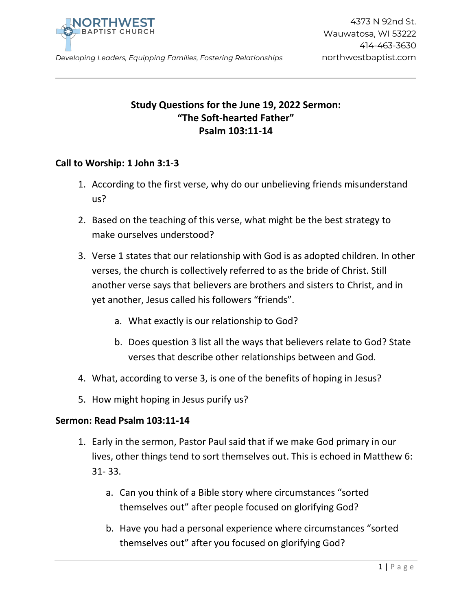

*Developing Leaders, Equipping Families, Fostering Relationships* northwestbaptist.com

## **Study Questions for the June 19, 2022 Sermon: "The Soft-hearted Father" Psalm 103:11-14**

## **Call to Worship: 1 John 3:1-3**

- 1. According to the first verse, why do our unbelieving friends misunderstand us?
- 2. Based on the teaching of this verse, what might be the best strategy to make ourselves understood?
- 3. Verse 1 states that our relationship with God is as adopted children. In other verses, the church is collectively referred to as the bride of Christ. Still another verse says that believers are brothers and sisters to Christ, and in yet another, Jesus called his followers "friends".
	- a. What exactly is our relationship to God?
	- b. Does question 3 list all the ways that believers relate to God? State verses that describe other relationships between and God.
- 4. What, according to verse 3, is one of the benefits of hoping in Jesus?
- 5. How might hoping in Jesus purify us?

## **Sermon: Read Psalm 103:11-14**

- 1. Early in the sermon, Pastor Paul said that if we make God primary in our lives, other things tend to sort themselves out. This is echoed in Matthew 6: 31- 33.
	- a. Can you think of a Bible story where circumstances "sorted themselves out" after people focused on glorifying God?
	- b. Have you had a personal experience where circumstances "sorted themselves out" after you focused on glorifying God?